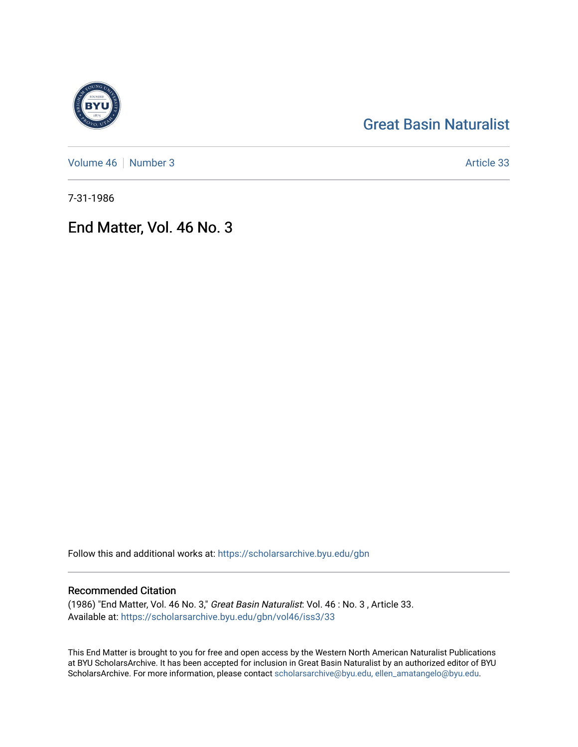# [Great Basin Naturalist](https://scholarsarchive.byu.edu/gbn)

[Volume 46](https://scholarsarchive.byu.edu/gbn/vol46) | [Number 3](https://scholarsarchive.byu.edu/gbn/vol46/iss3) Article 33

7-31-1986

## End Matter, Vol. 46 No. 3

Follow this and additional works at: [https://scholarsarchive.byu.edu/gbn](https://scholarsarchive.byu.edu/gbn?utm_source=scholarsarchive.byu.edu%2Fgbn%2Fvol46%2Fiss3%2F33&utm_medium=PDF&utm_campaign=PDFCoverPages) 

### Recommended Citation

(1986) "End Matter, Vol. 46 No. 3," Great Basin Naturalist: Vol. 46 : No. 3 , Article 33. Available at: [https://scholarsarchive.byu.edu/gbn/vol46/iss3/33](https://scholarsarchive.byu.edu/gbn/vol46/iss3/33?utm_source=scholarsarchive.byu.edu%2Fgbn%2Fvol46%2Fiss3%2F33&utm_medium=PDF&utm_campaign=PDFCoverPages) 

This End Matter is brought to you for free and open access by the Western North American Naturalist Publications at BYU ScholarsArchive. It has been accepted for inclusion in Great Basin Naturalist by an authorized editor of BYU ScholarsArchive. For more information, please contact [scholarsarchive@byu.edu, ellen\\_amatangelo@byu.edu.](mailto:scholarsarchive@byu.edu,%20ellen_amatangelo@byu.edu)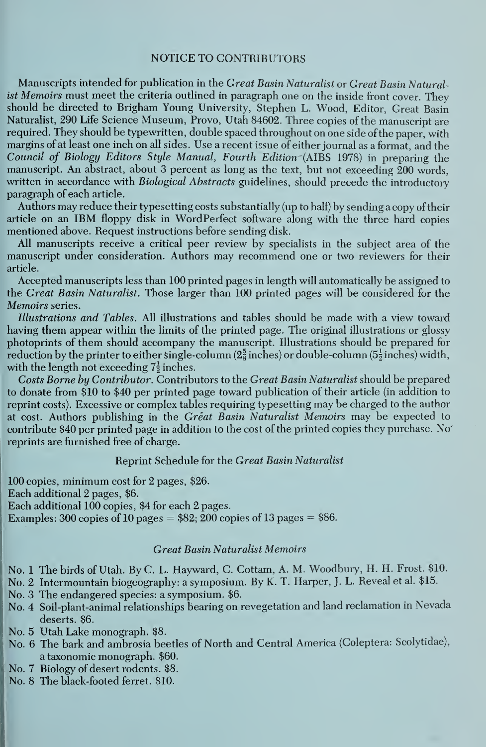#### NOTICE TO CONTRIBUTORS

Manuscripts intended for publication in the Great Basin Naturalist or Great Basin Naturalist Memoirs must meet the criteria outlined in paragraph one on the inside front cover. They should be directed to Brigham Young University, Stephen L. Wood, Editor, Great Basin Naturalist, 290 Life Science Museum, Provo, Utah 84602. Three copies of the manuscript are required. They should be typewritten, double spaced throughout on one side of the paper, with margins of at least one inch on all sides. Use a recent issue of either journal as a format, and the Council of Biology Editors Style Manual, Fourth Edition (AIBS 1978) in preparing the manuscript. An abstract, about 3 percent as long as the text, but not exceeding 200 words, written in accordance with Biological Abstracts guidelines, should precede the introductory paragraph of each article.

Authors may reduce their typesetting costs substantially (up to half) by sending a copy of their article on an IBM floppy disk in WordPerfect software along with the three hard copies mentioned above. Request instructions before sending disk.

All manuscripts receive a critical peer review by specialists in the subject area of the manuscript under consideration. Authors may recommend one or two reviewers for their article.

Accepted manuscripts less than 100 printed pages in length will automatically be assigned to the Great Basin Naturalist. Those larger than 100 printed pages will be considered for the Memoirs series.

Illustrations and Tables. All illustrations and tables should be made with a view toward having them appear within the limits of the printed page. The original illustrations or glossy photoprints of them should accompany the manuscript. Illustrations should be prepared for reduction by the printer to either single-column ( $2\frac{5}{8}$  inches) or double-column ( $5\frac{1}{8}$  inches) width, with the length not exceeding  $7\frac{1}{2}$  inches.

Costs Borne by Contributor. Contributors to the Great Basin Naturalist should be prepared to donate from \$10 to \$40 per printed page toward publication of their article (in addition to reprint costs). Excessive or complex tables requiring typesetting may be charged to the author at cost. Authors publishing in the Great Basin Naturalist Memoirs may be expected to contribute \$40 per printed page in addition to the cost of the printed copies they purchase. No' reprints are furnished free of charge.

#### Reprint Schedule for the Great Basin Naturalist

100 copies, minimum cost for 2 pages, \$26. Each additional 2 pages, \$6. Each additional 100 copies, \$4 for each 2 pages. Examples: 300 copies of 10 pages  $= $82; 200$  copies of 13 pages  $= $86$ .

#### Great Basin Naturalist Memoirs

No. <sup>1</sup> The birds of Utah. ByC. L. Hayward, C. Cottam, A. M. Woodbury, H. H. Frost. \$10.

- No. 2 Intermountain biogeography: a symposium. By K. T. Harper, J. L. Reveal et al. \$15.
- No. 3 The endangered species: a symposium. \$6.
- No. 4 Soil-plant-animal relationships bearing on revegetation and land reclamation in Nevada deserts. \$6.
- No. 5 Utah Lake monograph. \$8.
- No. 6 The bark and ambrosia beetles of North and Central America (Coleptera: Scolytidae), a taxonomic monograph. \$60.
- No. 7 Biology of desert rodents. \$8.
- No. 8 The black-footed ferret. \$10.